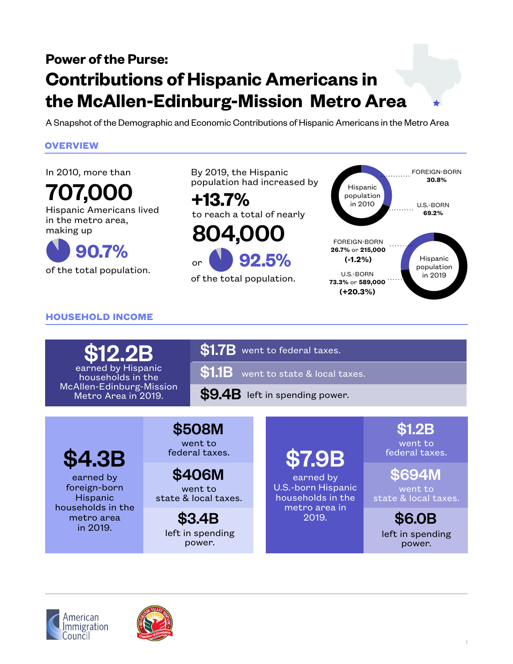## **Power of the Purse: Contributions of Hispanic Americans in the McAllen-Edinburg-Mission Metro Area**

A Snapshot of the Demographic and Economic Contributions of Hispanic Americans in the Metro Area

By 2019, the Hispanic

### **OVERVIEW**

In 2010, more than

707,000 Hispanic Americans lived in the metro area, making up

 $\bullet$ of the total population. **+13.7%** population had increased by  $H_{\text{Hspanic}}$ to reach a total of nearly

**92.5% 90.7%**

 $\bigcup$ of the total population.



### **HOUSEHOLD INCOME**

Metro Area in 2019.

 $$1.7B$  went to federal taxes.

 $$1.1B$  went to state & local taxes. \$12.2B earned by Hispanic households in the McAllen-Edinburg-Mission

or

 $$9.4B$  left in spending power.

\$4.3B

earned by foreign-born Hispanic households in the metro area in 2019.

went to **\$508M \$1.2B** 

federal taxes.

went to state & local taxes.  $$406M$   $$694M$ 

left in spending power.

# \$7.9B

earned by U.S.-born Hispanic households in the metro area in 2019. **\$3.4B 3019. \$6.0B** 

went to federal taxes.

went to state & local taxes.

left in spending power.